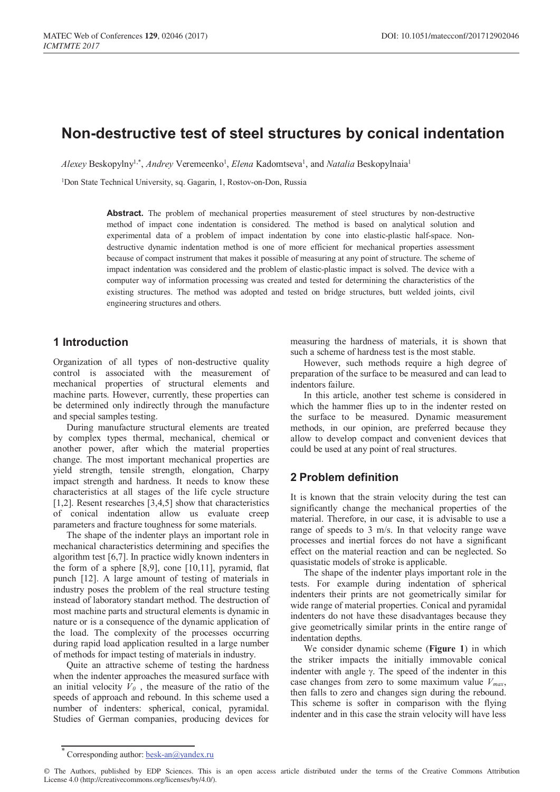# **Non-destructive test of steel structures by conical indentation**

*Alexey* Beskopylny<sup>1,\*</sup>, *Andrey* Veremeenko<sup>1</sup>, *Elena* Kadomtseva<sup>1</sup>, and *Natalia* Beskopylnaia<sup>1</sup>

<sup>1</sup>Don State Technical University, sq. Gagarin, 1, Rostov-on-Don, Russia

Abstract. The problem of mechanical properties measurement of steel structures by non-destructive method of impact cone indentation is considered. The method is based on analytical solution and experimental data of a problem of impact indentation by cone into elastic-plastic half-space. Nondestructive dynamic indentation method is one of more efficient for mechanical properties assessment because of compact instrument that makes it possible of measuring at any point of structure. The scheme of impact indentation was considered and the problem of elastic-plastic impact is solved. The device with a computer way of information processing was created and tested for determining the characteristics of the existing structures. The method was adopted and tested on bridge structures, butt welded joints, civil engineering structures and others.

### **1 Introduction**

Organization of all types of non-destructive quality control is associated with the measurement of mechanical properties of structural elements and machine parts. However, currently, these properties can be determined only indirectly through the manufacture and special samples testing.

During manufacture structural elements are treated by complex types thermal, mechanical, chemical or another power, after which the material properties change. The most important mechanical properties are yield strength, tensile strength, elongation, Charpy impact strength and hardness. It needs to know these characteristics at all stages of the life cycle structure [1,2]. Resent researches [3,4,5] show that characteristics of conical indentation allow us evaluate creep parameters and fracture toughness for some materials.

The shape of the indenter plays an important role in mechanical characteristics determining and specifies the algorithm test [6,7]. In practice widly known indenters in the form of a sphere [8,9], cone [10,11], pyramid, flat punch [12]. A large amount of testing of materials in industry poses the problem of the real structure testing instead of laboratory standart method. The destruction of most machine parts and structural elements is dynamic in nature or is a consequence of the dynamic application of the load. The complexity of the processes occurring during rapid load application resulted in a large number of methods for impact testing of materials in industry.

Quite an attractive scheme of testing the hardness when the indenter approaches the measured surface with an initial velocity  $V_0$ , the measure of the ratio of the speeds of approach and rebound. In this scheme used a number of indenters: spherical, conical, pyramidal. Studies of German companies, producing devices for

measuring the hardness of materials, it is shown that such a scheme of hardness test is the most stable.

However, such methods require a high degree of preparation of the surface to be measured and can lead to indentors failure.

In this article, another test scheme is considered in which the hammer flies up to in the indenter rested on the surface to be measured. Dynamic measurement methods, in our opinion, are preferred because they allow to develop compact and convenient devices that could be used at any point of real structures.

## **2 Problem definition**

It is known that the strain velocity during the test can significantly change the mechanical properties of the material. Therefore, in our case, it is advisable to use a range of speeds to 3 m/s. In that velocity range wave processes and inertial forces do not have a significant effect on the material reaction and can be neglected. So quasistatic models of stroke is applicable.

The shape of the indenter plays important role in the tests. For example during indentation of spherical indenters their prints are not geometrically similar for wide range of material properties. Conical and pyramidal indenters do not have these disadvantages because they give geometrically similar prints in the entire range of indentation depths.

We consider dynamic scheme (**Figure 1**) in which the striker impacts the initially immovable conical indenter with angle γ. The speed of the indenter in this case changes from zero to some maximum value *Vmax*, then falls to zero and changes sign during the rebound. This scheme is softer in comparison with the flying indenter and in this case the strain velocity will have less

Corresponding author:  $\frac{\text{besk-an}(a)}{\text{yandex.ru}}$ 

<sup>©</sup> The Authors, published by EDP Sciences. This is an open access article distributed under the terms of the Creative Commons Attribution License 4.0 (http://creativecommons.org/licenses/by/4.0/).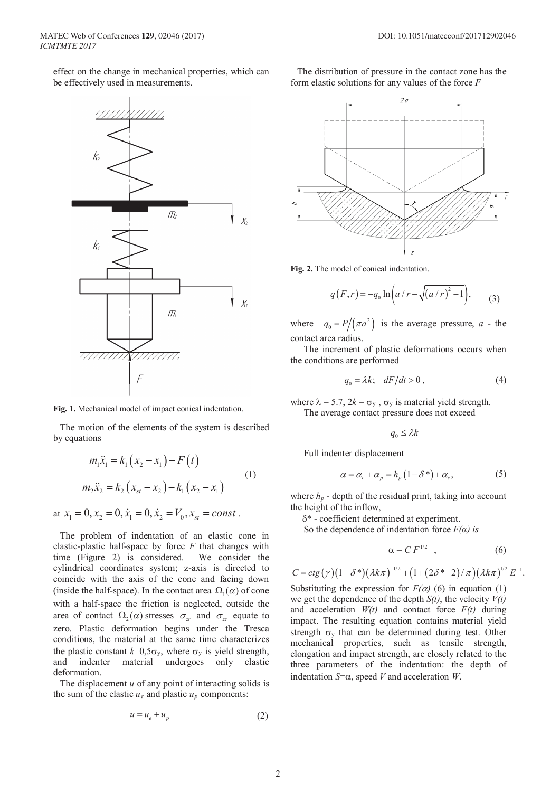effect on the change in mechanical properties, which can be effectively used in measurements.



**Fig. 1.** Mechanical model of impact conical indentation.

The motion of the elements of the system is described by equations

$$
m_1\ddot{x}_1 = k_1(x_2 - x_1) - F(t)
$$
  
\n
$$
m_2\ddot{x}_2 = k_2(x_{st} - x_2) - k_1(x_2 - x_1)
$$
\n(1)

at  $x_1 = 0, x_2 = 0, \dot{x}_1 = 0, \dot{x}_2 = V_0, x_{st} = const$ .

The problem of indentation of an elastic cone in elastic-plastic half-space by force *F* that changes with time (Figure 2) is considered. We consider the cylindrical coordinates system; z-axis is directed to coincide with the axis of the cone and facing down (inside the half-space). In the contact area  $\Omega_1(\alpha)$  of cone with a half-space the friction is neglected, outside the area of contact  $\Omega_2(\alpha)$  stresses  $\sigma_{\alpha}$  and  $\sigma_{\alpha}$  equate to zero. Plastic deformation begins under the Tresca conditions, the material at the same time characterizes the plastic constant  $k=0.5\sigma_{y}$ , where  $\sigma_{y}$  is yield strength, and indenter material undergoes only elastic deformation.

The displacement *u* of any point of interacting solids is the sum of the elastic  $u_e$  and plastic  $u_p$  components:

$$
u = u_e + u_p \tag{2}
$$

The distribution of pressure in the contact zone has the form elastic solutions for any values of the force *F*



**Fig. 2.** The model of conical indentation.

$$
q(F,r) = -q_0 \ln \left( a / r - \sqrt{(a/r)^2 - 1} \right), \quad (3)
$$

where  $q_0 = P/(\pi a^2)$  is the average pressure, *a* - the contact area radius.

The increment of plastic deformations occurs when the conditions are performed

$$
q_0 = \lambda k; \quad dF/dt > 0 , \tag{4}
$$

where  $\lambda = 5.7$ ,  $2k = \sigma_y$ ,  $\sigma_y$  is material yield strength. The average contact pressure does not exceed

$$
q_{\scriptscriptstyle 0} \leq \lambda k
$$

Full indenter displacement

$$
\alpha = \alpha_e + \alpha_p = h_p \left( 1 - \delta^* \right) + \alpha_e, \tag{5}
$$

where  $h_p$  - depth of the residual print, taking into account the height of the inflow,

δ\* - coefficient determined at experiment.

So the dependence of indentation force  $F(\alpha)$  is

$$
\alpha = C F^{1/2} \quad , \tag{6}
$$

$$
C = ctg(\gamma)(1-\delta^*)(\lambda k\pi)^{-1/2} + (1+(2\delta^*-2)/\pi)(\lambda k\pi)^{1/2} E^{-1}.
$$

Substituting the expression for  $F(\alpha)$  (6) in equation (1) we get the dependence of the depth *S(t)*, the velocity *V(t)* and acceleration  $W(t)$  and contact force  $F(t)$  during impact. The resulting equation contains material yield strength  $\sigma_{v}$  that can be determined during test. Other mechanical properties, such as tensile strength, elongation and impact strength, are closely related to the three parameters of the indentation: the depth of indentation *S*=α, speed *V* and acceleration *W*.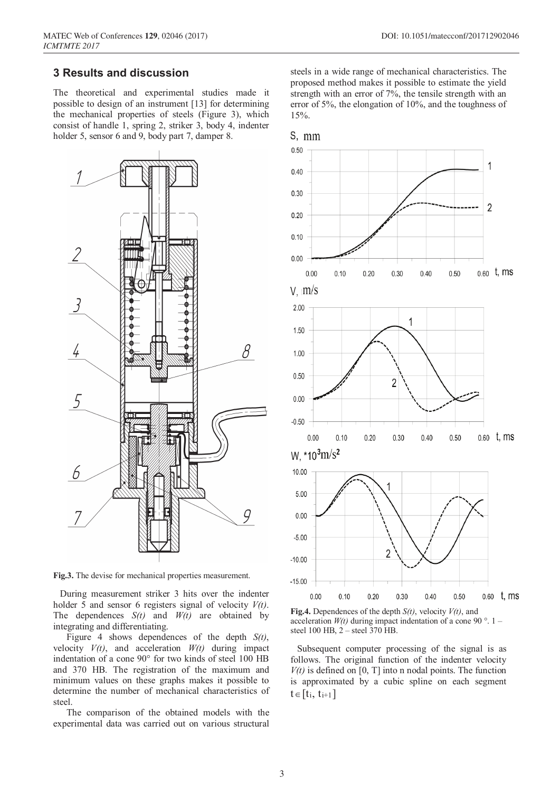#### **3 Results and discussion**

The theoretical and experimental studies made it possible to design of an instrument [13] for determining the mechanical properties of steels (Figure 3), which consist of handle 1, spring 2, striker 3, body 4, indenter holder 5, sensor 6 and 9, body part 7, damper 8.



**Fig.3.** The devise for mechanical properties measurement.

During measurement striker 3 hits over the indenter holder 5 and sensor 6 registers signal of velocity *V(t)*. The dependences  $S(t)$  and  $W(t)$  are obtained by integrating and differentiating.

Figure 4 shows dependences of the depth *S(t)*, velocity  $V(t)$ , and acceleration  $W(t)$  during impact indentation of a cone 90° for two kinds of steel 100 HB and 370 HB. The registration of the maximum and minimum values on these graphs makes it possible to determine the number of mechanical characteristics of steel.

The comparison of the obtained models with the experimental data was carried out on various structural steels in a wide range of mechanical characteristics. The proposed method makes it possible to estimate the yield strength with an error of 7%, the tensile strength with an error of 5%, the elongation of 10%, and the toughness of 15%.



**Fig.4.** Dependences of the depth *S(t)*, velocity *V(t)*, and acceleration  $W(t)$  during impact indentation of a cone 90 °. 1 – steel 100 HB, 2 – steel 370 HB.

Subsequent computer processing of the signal is as follows. The original function of the indenter velocity  $V(t)$  is defined on [0, T] into n nodal points. The function is approximated by a cubic spline on each segment  $t \in [t_i, t_{i+1}]$